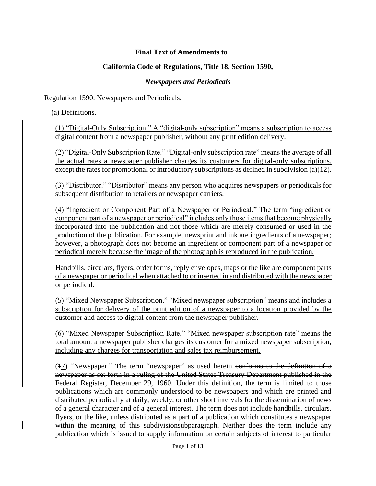### **Final Text of Amendments to**

### **California Code of Regulations, Title 18, Section 1590,**

#### *Newspapers and Periodicals*

Regulation 1590. Newspapers and Periodicals.

(a) Definitions.

(1) "Digital-Only Subscription." A "digital-only subscription" means a subscription to access digital content from a newspaper publisher, without any print edition delivery.

(2) "Digital-Only Subscription Rate." "Digital-only subscription rate" means the average of all the actual rates a newspaper publisher charges its customers for digital-only subscriptions, except the rates for promotional or introductory subscriptions as defined in subdivision (a)(12).

(3) "Distributor." "Distributor" means any person who acquires newspapers or periodicals for subsequent distribution to retailers or newspaper carriers.

(4) "Ingredient or Component Part of a Newspaper or Periodical." The term "ingredient or component part of a newspaper or periodical" includes only those items that become physically incorporated into the publication and not those which are merely consumed or used in the production of the publication. For example, newsprint and ink are ingredients of a newspaper; however, a photograph does not become an ingredient or component part of a newspaper or periodical merely because the image of the photograph is reproduced in the publication.

Handbills, circulars, flyers, order forms, reply envelopes, maps or the like are component parts of a newspaper or periodical when attached to or inserted in and distributed with the newspaper or periodical.

(5) "Mixed Newspaper Subscription." "Mixed newspaper subscription" means and includes a subscription for delivery of the print edition of a newspaper to a location provided by the customer and access to digital content from the newspaper publisher.

(6) "Mixed Newspaper Subscription Rate." "Mixed newspaper subscription rate" means the total amount a newspaper publisher charges its customer for a mixed newspaper subscription, including any charges for transportation and sales tax reimbursement.

(47) "Newspaper." The term "newspaper" as used herein conforms to the definition of a newspaper as set forth in a ruling of the United States Treasury Department published in the Federal Register, December 29, 1960. Under this definition, the term is limited to those publications which are commonly understood to be newspapers and which are printed and distributed periodically at daily, weekly, or other short intervals for the dissemination of news of a general character and of a general interest. The term does not include handbills, circulars, flyers, or the like, unless distributed as a part of a publication which constitutes a newspaper within the meaning of this subdivisionsubparagraph. Neither does the term include any publication which is issued to supply information on certain subjects of interest to particular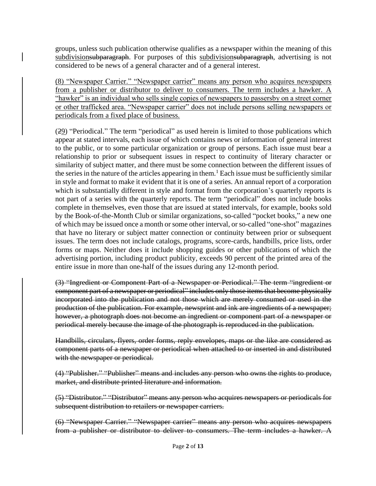groups, unless such publication otherwise qualifies as a newspaper within the meaning of this subdivisionsubparagraph. For purposes of this subdivisionsubparagraph, advertising is not considered to be news of a general character and of a general interest.

(8) "Newspaper Carrier." "Newspaper carrier" means any person who acquires newspapers from a publisher or distributor to deliver to consumers. The term includes a hawker. A "hawker" is an individual who sells single copies of newspapers to passersby on a street corner or other trafficked area. "Newspaper carrier" does not include persons selling newspapers or periodicals from a fixed place of business.

(29) "Periodical." The term "periodical" as used herein is limited to those publications which appear at stated intervals, each issue of which contains news or information of general interest to the public, or to some particular organization or group of persons. Each issue must bear a relationship to prior or subsequent issues in respect to continuity of literary character or similarity of subject matter, and there must be some connection between the different issues of the series in the nature of the articles appearing in them.<sup>1</sup> Each issue must be sufficiently similar in style and format to make it evident that it is one of a series. An annual report of a corporation which is substantially different in style and format from the corporation's quarterly reports is not part of a series with the quarterly reports. The term "periodical" does not include books complete in themselves, even those that are issued at stated intervals, for example, books sold by the Book-of-the-Month Club or similar organizations, so-called "pocket books," a new one of which may be issued once a month or some other interval, or so-called "one-shot" magazines that have no literary or subject matter connection or continuity between prior or subsequent issues. The term does not include catalogs, programs, score-cards, handbills, price lists, order forms or maps. Neither does it include shopping guides or other publications of which the advertising portion, including product publicity, exceeds 90 percent of the printed area of the entire issue in more than one-half of the issues during any 12-month period.

(3) "Ingredient or Component Part of a Newspaper or Periodical." The term "ingredient or component part of a newspaper or periodical" includes only those items that become physically incorporated into the publication and not those which are merely consumed or used in the production of the publication. For example, newsprint and ink are ingredients of a newspaper; however, a photograph does not become an ingredient or component part of a newspaper or periodical merely because the image of the photograph is reproduced in the publication.

Handbills, circulars, flyers, order forms, reply envelopes, maps or the like are considered as component parts of a newspaper or periodical when attached to or inserted in and distributed with the newspaper or periodical.

(4) "Publisher." "Publisher" means and includes any person who owns the rights to produce, market, and distribute printed literature and information.

(5) "Distributor." "Distributor" means any person who acquires newspapers or periodicals for subsequent distribution to retailers or newspaper carriers.

(6) "Newspaper Carrier." "Newspaper carrier" means any person who acquires newspapers from a publisher or distributor to deliver to consumers. The term includes a hawker. A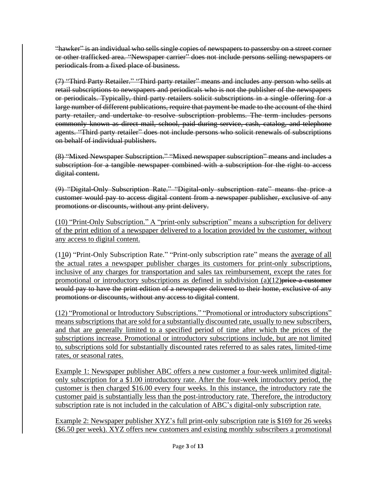"hawker" is an individual who sells single copies of newspapers to passersby on a street corner or other trafficked area. "Newspaper carrier" does not include persons selling newspapers or periodicals from a fixed place of business.

(7) "Third Party Retailer." "Third party retailer" means and includes any person who sells at retail subscriptions to newspapers and periodicals who is not the publisher of the newspapers or periodicals. Typically, third party retailers solicit subscriptions in a single offering for a large number of different publications, require that payment be made to the account of the third party retailer, and undertake to resolve subscription problems. The term includes persons commonly known as direct mail, school, paid during service, cash, catalog, and telephone agents. "Third party retailer" does not include persons who solicit renewals of subscriptions on behalf of individual publishers.

(8) "Mixed Newspaper Subscription." "Mixed newspaper subscription" means and includes a subscription for a tangible newspaper combined with a subscription for the right to access digital content.

(9) "Digital-Only Subscription Rate." "Digital-only subscription rate" means the price a customer would pay to access digital content from a newspaper publisher, exclusive of any promotions or discounts, without any print delivery.

(10) "Print-Only Subscription." A "print-only subscription" means a subscription for delivery of the print edition of a newspaper delivered to a location provided by the customer, without any access to digital content.

 $(110)$  "Print-Only Subscription Rate." "Print-only subscription rate" means the average of all the actual rates a newspaper publisher charges its customers for print-only subscriptions, inclusive of any charges for transportation and sales tax reimbursement, except the rates for promotional or introductory subscriptions as defined in subdivision  $(a)(12)$  price a customer would pay to have the print edition of a newspaper delivered to their home, exclusive of any promotions or discounts, without any access to digital content.

(12) "Promotional or Introductory Subscriptions." "Promotional or introductory subscriptions" means subscriptions that are sold for a substantially discounted rate, usually to new subscribers, and that are generally limited to a specified period of time after which the prices of the subscriptions increase. Promotional or introductory subscriptions include, but are not limited to, subscriptions sold for substantially discounted rates referred to as sales rates, limited-time rates, or seasonal rates.

Example 1: Newspaper publisher ABC offers a new customer a four-week unlimited digitalonly subscription for a \$1.00 introductory rate. After the four-week introductory period, the customer is then charged \$16.00 every four weeks. In this instance, the introductory rate the customer paid is substantially less than the post-introductory rate. Therefore, the introductory subscription rate is not included in the calculation of ABC's digital-only subscription rate.

Example 2: Newspaper publisher XYZ's full print-only subscription rate is \$169 for 26 weeks (\$6.50 per week). XYZ offers new customers and existing monthly subscribers a promotional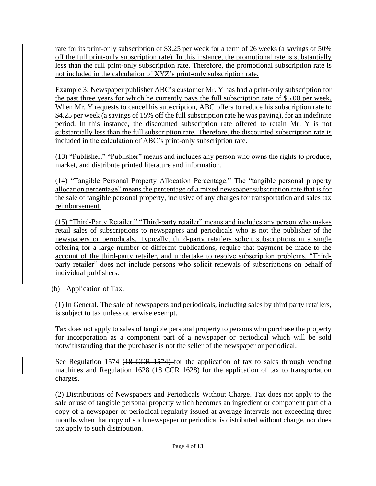rate for its print-only subscription of \$3.25 per week for a term of 26 weeks (a savings of 50% off the full print-only subscription rate). In this instance, the promotional rate is substantially less than the full print-only subscription rate. Therefore, the promotional subscription rate is not included in the calculation of XYZ's print-only subscription rate.

Example 3: Newspaper publisher ABC's customer Mr. Y has had a print-only subscription for the past three years for which he currently pays the full subscription rate of \$5.00 per week. When Mr. Y requests to cancel his subscription, ABC offers to reduce his subscription rate to \$4.25 per week (a savings of 15% off the full subscription rate he was paying), for an indefinite period. In this instance, the discounted subscription rate offered to retain Mr. Y is not substantially less than the full subscription rate. Therefore, the discounted subscription rate is included in the calculation of ABC's print-only subscription rate.

(13) "Publisher." "Publisher" means and includes any person who owns the rights to produce, market, and distribute printed literature and information.

(14) "Tangible Personal Property Allocation Percentage." The "tangible personal property allocation percentage" means the percentage of a mixed newspaper subscription rate that is for the sale of tangible personal property, inclusive of any charges for transportation and sales tax reimbursement.

(15) "Third-Party Retailer." "Third-party retailer" means and includes any person who makes retail sales of subscriptions to newspapers and periodicals who is not the publisher of the newspapers or periodicals. Typically, third-party retailers solicit subscriptions in a single offering for a large number of different publications, require that payment be made to the account of the third-party retailer, and undertake to resolve subscription problems. "Thirdparty retailer" does not include persons who solicit renewals of subscriptions on behalf of individual publishers.

(b) Application of Tax.

(1) In General. The sale of newspapers and periodicals, including sales by third party retailers, is subject to tax unless otherwise exempt.

Tax does not apply to sales of tangible personal property to persons who purchase the property for incorporation as a component part of a newspaper or periodical which will be sold notwithstanding that the purchaser is not the seller of the newspaper or periodical.

See Regulation 1574 <del>(18 CCR 1574)</del> for the application of tax to sales through vending machines and Regulation 1628 (18 CCR 1628) for the application of tax to transportation charges.

(2) Distributions of Newspapers and Periodicals Without Charge. Tax does not apply to the sale or use of tangible personal property which becomes an ingredient or component part of a copy of a newspaper or periodical regularly issued at average intervals not exceeding three months when that copy of such newspaper or periodical is distributed without charge, nor does tax apply to such distribution.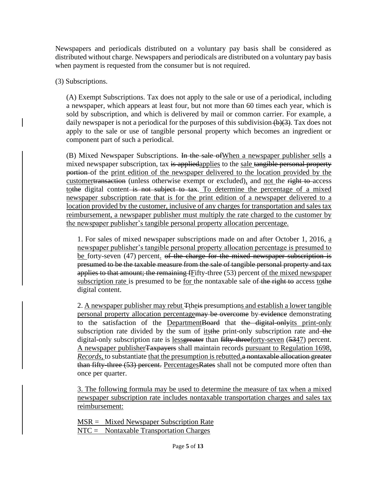Newspapers and periodicals distributed on a voluntary pay basis shall be considered as distributed without charge. Newspapers and periodicals are distributed on a voluntary pay basis when payment is requested from the consumer but is not required.

(3) Subscriptions.

(A) Exempt Subscriptions. Tax does not apply to the sale or use of a periodical, including a newspaper, which appears at least four, but not more than 60 times each year, which is sold by subscription, and which is delivered by mail or common carrier. For example, a daily newspaper is not a periodical for the purposes of this subdivision  $(b)(3)$ . Tax does not apply to the sale or use of tangible personal property which becomes an ingredient or component part of such a periodical.

(B) Mixed Newspaper Subscriptions. In the sale of When a newspaper publisher sells a mixed newspaper subscription, tax is appliedapplies to the sale tangible personal property portion of the print edition of the newspaper delivered to the location provided by the customertransaction (unless otherwise exempt or excluded), and not the right to access tothe digital content is not subject to tax. To determine the percentage of a mixed newspaper subscription rate that is for the print edition of a newspaper delivered to a location provided by the customer, inclusive of any charges for transportation and sales tax reimbursement, a newspaper publisher must multiply the rate charged to the customer by the newspaper publisher's tangible personal property allocation percentage.

1. For sales of mixed newspaper subscriptions made on and after October 1, 2016, a newspaper publisher's tangible personal property allocation percentage is presumed to be forty-seven (47) percent. of the charge for the mixed newspaper subscription is presumed to be the taxable measure from the sale of tangible personal property and tax applies to that amount; the remaining fFifty-three (53) percent of the mixed newspaper subscription rate is presumed to be for the nontaxable sale of the right to access to the digital content.

2. A newspaper publisher may rebut Ttheis presumptions and establish a lower tangible personal property allocation percentagemay be overcome by evidence demonstrating to the satisfaction of the DepartmentBoard that the digital-onlyits print-only subscription rate divided by the sum of its the print-only subscription rate and the digital-only subscription rate is less greater than fifty-threeforty-seven (5347) percent. A newspaper publisher Taxpayers shall maintain records pursuant to Regulation 1698, *Records*, to substantiate that the presumption is rebutted. a nontaxable allocation greater than fifty three (53) percent. PercentagesRates shall not be computed more often than once per quarter.

3. The following formula may be used to determine the measure of tax when a mixed newspaper subscription rate includes nontaxable transportation charges and sales tax reimbursement:

MSR = Mixed Newspaper Subscription Rate NTC = Nontaxable Transportation Charges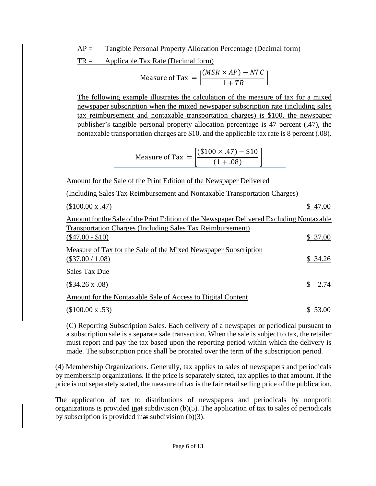$AP =$  Tangible Personal Property Allocation Percentage (Decimal form)

 $TR =$  Applicable Tax Rate (Decimal form)

| Measure of Tax $=$ $\vert$ – | $[(MSR \times AP) - NTC]$ |  |
|------------------------------|---------------------------|--|
|                              | $1 + TR$                  |  |

The following example illustrates the calculation of the measure of tax for a mixed newspaper subscription when the mixed newspaper subscription rate (including sales tax reimbursement and nontaxable transportation charges) is \$100, the newspaper publisher's tangible personal property allocation percentage is 47 percent (.47), the nontaxable transportation charges are \$10, and the applicable tax rate is 8 percent (.08).

$$
Measure of Tax = \left\lceil \frac{(\$100 \times .47) - \$10}{(1 + .08)} \right\rceil
$$

Amount for the Sale of the Print Edition of the Newspaper Delivered

(Including Sales Tax Reimbursement and Nontaxable Transportation Charges)

| (\$100.00 x .47)                                                                         |    | \$47.00  |
|------------------------------------------------------------------------------------------|----|----------|
| Amount for the Sale of the Print Edition of the Newspaper Delivered Excluding Nontaxable |    |          |
| <b>Transportation Charges (Including Sales Tax Reimbursement)</b>                        |    |          |
| $(\$47.00 - \$10)$                                                                       |    | \$37.00  |
| Measure of Tax for the Sale of the Mixed Newspaper Subscription                          |    |          |
| $(\$37.00 / 1.08)$                                                                       |    | \$ 34.26 |
| Sales Tax Due                                                                            |    |          |
| $(\$34.26 \times .08)$                                                                   | S. | 2.74     |
| Amount for the Nontaxable Sale of Access to Digital Content                              |    |          |
| $($100.00 \times .53)$                                                                   |    | \$ 53.00 |

(C) Reporting Subscription Sales. Each delivery of a newspaper or periodical pursuant to a subscription sale is a separate sale transaction. When the sale is subject to tax, the retailer must report and pay the tax based upon the reporting period within which the delivery is made. The subscription price shall be prorated over the term of the subscription period.

(4) Membership Organizations. Generally, tax applies to sales of newspapers and periodicals by membership organizations. If the price is separately stated, tax applies to that amount. If the price is not separately stated, the measure of tax is the fair retail selling price of the publication.

The application of tax to distributions of newspapers and periodicals by nonprofit organizations is provided in at subdivision (b)(5). The application of tax to sales of periodicals by subscription is provided  $\frac{\text{inat}}{\text{inat}}$  subdivision (b)(3).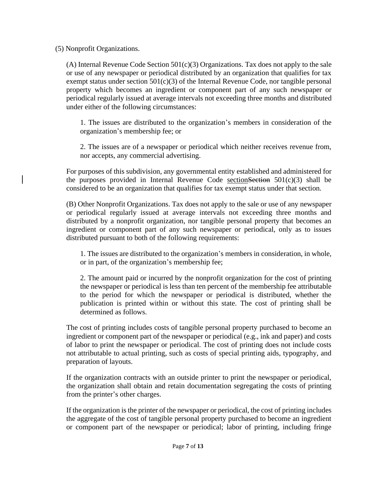(5) Nonprofit Organizations.

(A) Internal Revenue Code Section  $501(c)(3)$  Organizations. Tax does not apply to the sale or use of any newspaper or periodical distributed by an organization that qualifies for tax exempt status under section  $501(c)(3)$  of the Internal Revenue Code, nor tangible personal property which becomes an ingredient or component part of any such newspaper or periodical regularly issued at average intervals not exceeding three months and distributed under either of the following circumstances:

1. The issues are distributed to the organization's members in consideration of the organization's membership fee; or

2. The issues are of a newspaper or periodical which neither receives revenue from, nor accepts, any commercial advertising.

For purposes of this subdivision, any governmental entity established and administered for the purposes provided in Internal Revenue Code section Section  $501(c)(3)$  shall be considered to be an organization that qualifies for tax exempt status under that section.

(B) Other Nonprofit Organizations. Tax does not apply to the sale or use of any newspaper or periodical regularly issued at average intervals not exceeding three months and distributed by a nonprofit organization, nor tangible personal property that becomes an ingredient or component part of any such newspaper or periodical, only as to issues distributed pursuant to both of the following requirements:

1. The issues are distributed to the organization's members in consideration, in whole, or in part, of the organization's membership fee;

2. The amount paid or incurred by the nonprofit organization for the cost of printing the newspaper or periodical is less than ten percent of the membership fee attributable to the period for which the newspaper or periodical is distributed, whether the publication is printed within or without this state. The cost of printing shall be determined as follows.

The cost of printing includes costs of tangible personal property purchased to become an ingredient or component part of the newspaper or periodical (e.g., ink and paper) and costs of labor to print the newspaper or periodical. The cost of printing does not include costs not attributable to actual printing, such as costs of special printing aids, typography, and preparation of layouts.

If the organization contracts with an outside printer to print the newspaper or periodical, the organization shall obtain and retain documentation segregating the costs of printing from the printer's other charges.

If the organization is the printer of the newspaper or periodical, the cost of printing includes the aggregate of the cost of tangible personal property purchased to become an ingredient or component part of the newspaper or periodical; labor of printing, including fringe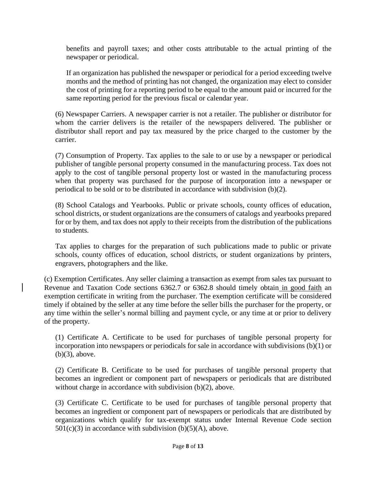benefits and payroll taxes; and other costs attributable to the actual printing of the newspaper or periodical.

If an organization has published the newspaper or periodical for a period exceeding twelve months and the method of printing has not changed, the organization may elect to consider the cost of printing for a reporting period to be equal to the amount paid or incurred for the same reporting period for the previous fiscal or calendar year.

(6) Newspaper Carriers. A newspaper carrier is not a retailer. The publisher or distributor for whom the carrier delivers is the retailer of the newspapers delivered. The publisher or distributor shall report and pay tax measured by the price charged to the customer by the carrier.

(7) Consumption of Property. Tax applies to the sale to or use by a newspaper or periodical publisher of tangible personal property consumed in the manufacturing process. Tax does not apply to the cost of tangible personal property lost or wasted in the manufacturing process when that property was purchased for the purpose of incorporation into a newspaper or periodical to be sold or to be distributed in accordance with subdivision (b)(2).

(8) School Catalogs and Yearbooks. Public or private schools, county offices of education, school districts, or student organizations are the consumers of catalogs and yearbooks prepared for or by them, and tax does not apply to their receipts from the distribution of the publications to students.

Tax applies to charges for the preparation of such publications made to public or private schools, county offices of education, school districts, or student organizations by printers, engravers, photographers and the like.

(c) Exemption Certificates. Any seller claiming a transaction as exempt from sales tax pursuant to Revenue and Taxation Code sections 6362.7 or 6362.8 should timely obtain in good faith an exemption certificate in writing from the purchaser. The exemption certificate will be considered timely if obtained by the seller at any time before the seller bills the purchaser for the property, or any time within the seller's normal billing and payment cycle, or any time at or prior to delivery of the property.

(1) Certificate A. Certificate to be used for purchases of tangible personal property for incorporation into newspapers or periodicals for sale in accordance with subdivisions (b)(1) or (b)(3), above.

(2) Certificate B. Certificate to be used for purchases of tangible personal property that becomes an ingredient or component part of newspapers or periodicals that are distributed without charge in accordance with subdivision (b)(2), above.

(3) Certificate C. Certificate to be used for purchases of tangible personal property that becomes an ingredient or component part of newspapers or periodicals that are distributed by organizations which qualify for tax-exempt status under Internal Revenue Code section  $501(c)(3)$  in accordance with subdivision (b)(5)(A), above.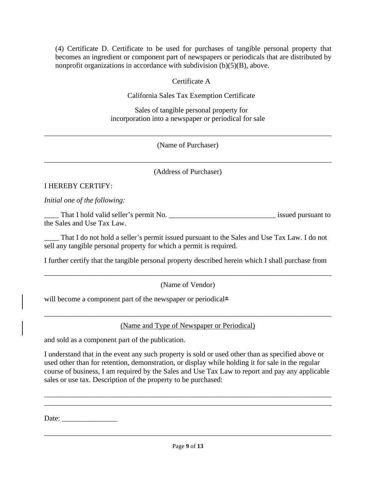(4) Certificate D. Certificate to be used for purchases of tangible personal property that becomes an ingredient or component part of newspapers or periodicals that are distributed by nonprofit organizations in accordance with subdivision (b)(5)(B), above.

### Certificate A

California Sales Tax Exemption Certificate

Sales of tangible personal property for incorporation into a newspaper or periodical for sale

(Name of Purchaser)

\_\_\_\_\_\_\_\_\_\_\_\_\_\_\_\_\_\_\_\_\_\_\_\_\_\_\_\_\_\_\_\_\_\_\_\_\_\_\_\_\_\_\_\_\_\_\_\_\_\_\_\_\_\_\_\_\_\_\_\_\_\_\_\_\_\_\_\_\_\_\_\_\_\_\_\_\_\_

\_\_\_\_\_\_\_\_\_\_\_\_\_\_\_\_\_\_\_\_\_\_\_\_\_\_\_\_\_\_\_\_\_\_\_\_\_\_\_\_\_\_\_\_\_\_\_\_\_\_\_\_\_\_\_\_\_\_\_\_\_\_\_\_\_\_\_\_\_\_\_\_\_\_\_\_\_\_ (Address of Purchaser)

### I HEREBY CERTIFY:

*Initial one of the following:*

\_\_\_\_ That I hold valid seller's permit No. \_\_\_\_\_\_\_\_\_\_\_\_\_\_\_\_\_\_\_\_\_\_\_\_\_\_\_\_\_ issued pursuant to the Sales and Use Tax Law.

That I do not hold a seller's permit issued pursuant to the Sales and Use Tax Law. I do not sell any tangible personal property for which a permit is required.

I further certify that the tangible personal property described herein which I shall purchase from

\_\_\_\_\_\_\_\_\_\_\_\_\_\_\_\_\_\_\_\_\_\_\_\_\_\_\_\_\_\_\_\_\_\_\_\_\_\_\_\_\_\_\_\_\_\_\_\_\_\_\_\_\_\_\_\_\_\_\_\_\_\_\_\_\_\_\_\_\_\_\_\_\_\_\_\_\_\_ (Name of Vendor)

will become a component part of the newspaper or periodical\*

\_\_\_\_\_\_\_\_\_\_\_\_\_\_\_\_\_\_\_\_\_\_\_\_\_\_\_\_\_\_\_\_\_\_\_\_\_\_\_\_\_\_\_\_\_\_\_\_\_\_\_\_\_\_\_\_\_\_\_\_\_\_\_\_\_\_\_\_\_\_\_\_\_\_\_\_\_\_ (Name and Type of Newspaper or Periodical)

and sold as a component part of the publication.

I understand that in the event any such property is sold or used other than as specified above or used other than for retention, demonstration, or display while holding it for sale in the regular course of business, I am required by the Sales and Use Tax Law to report and pay any applicable sales or use tax. Description of the property to be purchased:

\_\_\_\_\_\_\_\_\_\_\_\_\_\_\_\_\_\_\_\_\_\_\_\_\_\_\_\_\_\_\_\_\_\_\_\_\_\_\_\_\_\_\_\_\_\_\_\_\_\_\_\_\_\_\_\_\_\_\_\_\_\_\_\_\_\_\_\_\_\_\_\_\_\_\_\_\_\_ \_\_\_\_\_\_\_\_\_\_\_\_\_\_\_\_\_\_\_\_\_\_\_\_\_\_\_\_\_\_\_\_\_\_\_\_\_\_\_\_\_\_\_\_\_\_\_\_\_\_\_\_\_\_\_\_\_\_\_\_\_\_\_\_\_\_\_\_\_\_\_\_\_\_\_\_\_\_

Date:

\_\_\_\_\_\_\_\_\_\_\_\_\_\_\_\_\_\_\_\_\_\_\_\_\_\_\_\_\_\_\_\_\_\_\_\_\_\_\_\_\_\_\_\_\_\_\_\_\_\_\_\_\_\_\_\_\_\_\_\_\_\_\_\_\_\_\_\_\_\_\_\_\_\_\_\_\_\_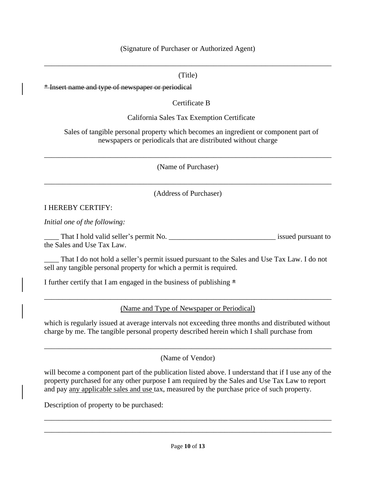#### (Signature of Purchaser or Authorized Agent)

#### (Title)

\_\_\_\_\_\_\_\_\_\_\_\_\_\_\_\_\_\_\_\_\_\_\_\_\_\_\_\_\_\_\_\_\_\_\_\_\_\_\_\_\_\_\_\_\_\_\_\_\_\_\_\_\_\_\_\_\_\_\_\_\_\_\_\_\_\_\_\_\_\_\_\_\_\_\_\_\_\_

\* Insert name and type of newspaper or periodical

Certificate B

California Sales Tax Exemption Certificate

Sales of tangible personal property which becomes an ingredient or component part of newspapers or periodicals that are distributed without charge

\_\_\_\_\_\_\_\_\_\_\_\_\_\_\_\_\_\_\_\_\_\_\_\_\_\_\_\_\_\_\_\_\_\_\_\_\_\_\_\_\_\_\_\_\_\_\_\_\_\_\_\_\_\_\_\_\_\_\_\_\_\_\_\_\_\_\_\_\_\_\_\_\_\_\_\_\_\_ (Name of Purchaser)

\_\_\_\_\_\_\_\_\_\_\_\_\_\_\_\_\_\_\_\_\_\_\_\_\_\_\_\_\_\_\_\_\_\_\_\_\_\_\_\_\_\_\_\_\_\_\_\_\_\_\_\_\_\_\_\_\_\_\_\_\_\_\_\_\_\_\_\_\_\_\_\_\_\_\_\_\_\_ (Address of Purchaser)

#### I HEREBY CERTIFY:

*Initial one of the following:*

That I hold valid seller's permit No.  $\qquad \qquad$  issued pursuant to the Sales and Use Tax Law.

That I do not hold a seller's permit issued pursuant to the Sales and Use Tax Law. I do not sell any tangible personal property for which a permit is required.

I further certify that I am engaged in the business of publishing  $*$ 

\_\_\_\_\_\_\_\_\_\_\_\_\_\_\_\_\_\_\_\_\_\_\_\_\_\_\_\_\_\_\_\_\_\_\_\_\_\_\_\_\_\_\_\_\_\_\_\_\_\_\_\_\_\_\_\_\_\_\_\_\_\_\_\_\_\_\_\_\_\_\_\_\_\_\_\_\_\_ (Name and Type of Newspaper or Periodical)

which is regularly issued at average intervals not exceeding three months and distributed without charge by me. The tangible personal property described herein which I shall purchase from

\_\_\_\_\_\_\_\_\_\_\_\_\_\_\_\_\_\_\_\_\_\_\_\_\_\_\_\_\_\_\_\_\_\_\_\_\_\_\_\_\_\_\_\_\_\_\_\_\_\_\_\_\_\_\_\_\_\_\_\_\_\_\_\_\_\_\_\_\_\_\_\_\_\_\_\_\_\_ (Name of Vendor)

will become a component part of the publication listed above. I understand that if I use any of the property purchased for any other purpose I am required by the Sales and Use Tax Law to report and pay any applicable sales and use tax, measured by the purchase price of such property.

Description of property to be purchased:

\_\_\_\_\_\_\_\_\_\_\_\_\_\_\_\_\_\_\_\_\_\_\_\_\_\_\_\_\_\_\_\_\_\_\_\_\_\_\_\_\_\_\_\_\_\_\_\_\_\_\_\_\_\_\_\_\_\_\_\_\_\_\_\_\_\_\_\_\_\_\_\_\_\_\_\_\_\_ \_\_\_\_\_\_\_\_\_\_\_\_\_\_\_\_\_\_\_\_\_\_\_\_\_\_\_\_\_\_\_\_\_\_\_\_\_\_\_\_\_\_\_\_\_\_\_\_\_\_\_\_\_\_\_\_\_\_\_\_\_\_\_\_\_\_\_\_\_\_\_\_\_\_\_\_\_\_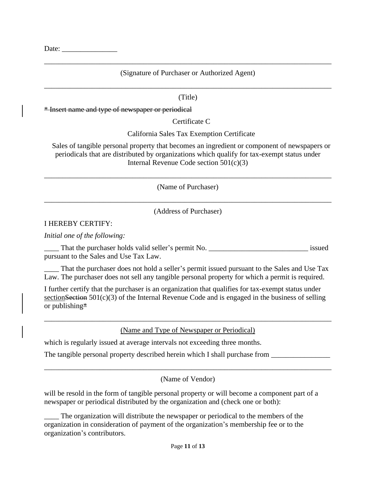Date:

# \_\_\_\_\_\_\_\_\_\_\_\_\_\_\_\_\_\_\_\_\_\_\_\_\_\_\_\_\_\_\_\_\_\_\_\_\_\_\_\_\_\_\_\_\_\_\_\_\_\_\_\_\_\_\_\_\_\_\_\_\_\_\_\_\_\_\_\_\_\_\_\_\_\_\_\_\_\_ (Signature of Purchaser or Authorized Agent)

# \_\_\_\_\_\_\_\_\_\_\_\_\_\_\_\_\_\_\_\_\_\_\_\_\_\_\_\_\_\_\_\_\_\_\_\_\_\_\_\_\_\_\_\_\_\_\_\_\_\_\_\_\_\_\_\_\_\_\_\_\_\_\_\_\_\_\_\_\_\_\_\_\_\_\_\_\_\_ (Title)

\* Insert name and type of newspaper or periodical

Certificate C

California Sales Tax Exemption Certificate

Sales of tangible personal property that becomes an ingredient or component of newspapers or periodicals that are distributed by organizations which qualify for tax-exempt status under Internal Revenue Code section 501(c)(3)

(Name of Purchaser) \_\_\_\_\_\_\_\_\_\_\_\_\_\_\_\_\_\_\_\_\_\_\_\_\_\_\_\_\_\_\_\_\_\_\_\_\_\_\_\_\_\_\_\_\_\_\_\_\_\_\_\_\_\_\_\_\_\_\_\_\_\_\_\_\_\_\_\_\_\_\_\_\_\_\_\_\_\_

\_\_\_\_\_\_\_\_\_\_\_\_\_\_\_\_\_\_\_\_\_\_\_\_\_\_\_\_\_\_\_\_\_\_\_\_\_\_\_\_\_\_\_\_\_\_\_\_\_\_\_\_\_\_\_\_\_\_\_\_\_\_\_\_\_\_\_\_\_\_\_\_\_\_\_\_\_\_

(Address of Purchaser)

#### I HEREBY CERTIFY:

*Initial one of the following:*

\_\_\_\_ That the purchaser holds valid seller's permit No. \_\_\_\_\_\_\_\_\_\_\_\_\_\_\_\_\_\_\_\_\_\_\_\_\_\_\_ issued pursuant to the Sales and Use Tax Law.

That the purchaser does not hold a seller's permit issued pursuant to the Sales and Use Tax Law. The purchaser does not sell any tangible personal property for which a permit is required.

I further certify that the purchaser is an organization that qualifies for tax-exempt status under section Section  $501(c)(3)$  of the Internal Revenue Code and is engaged in the business of selling or publishing $*$ 

\_\_\_\_\_\_\_\_\_\_\_\_\_\_\_\_\_\_\_\_\_\_\_\_\_\_\_\_\_\_\_\_\_\_\_\_\_\_\_\_\_\_\_\_\_\_\_\_\_\_\_\_\_\_\_\_\_\_\_\_\_\_\_\_\_\_\_\_\_\_\_\_\_\_\_\_\_\_ (Name and Type of Newspaper or Periodical)

which is regularly issued at average intervals not exceeding three months.

The tangible personal property described herein which I shall purchase from

(Name of Vendor)

\_\_\_\_\_\_\_\_\_\_\_\_\_\_\_\_\_\_\_\_\_\_\_\_\_\_\_\_\_\_\_\_\_\_\_\_\_\_\_\_\_\_\_\_\_\_\_\_\_\_\_\_\_\_\_\_\_\_\_\_\_\_\_\_\_\_\_\_\_\_\_\_\_\_\_\_\_\_

will be resold in the form of tangible personal property or will become a component part of a newspaper or periodical distributed by the organization and (check one or both):

The organization will distribute the newspaper or periodical to the members of the organization in consideration of payment of the organization's membership fee or to the organization's contributors.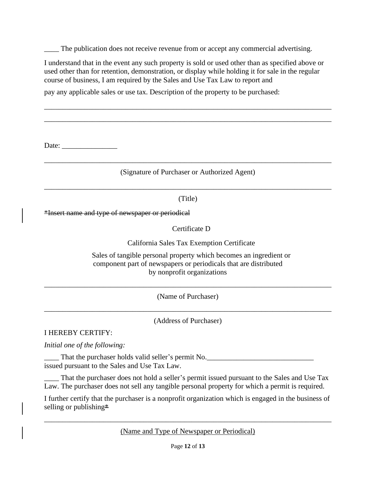The publication does not receive revenue from or accept any commercial advertising.

I understand that in the event any such property is sold or used other than as specified above or used other than for retention, demonstration, or display while holding it for sale in the regular course of business, I am required by the Sales and Use Tax Law to report and

\_\_\_\_\_\_\_\_\_\_\_\_\_\_\_\_\_\_\_\_\_\_\_\_\_\_\_\_\_\_\_\_\_\_\_\_\_\_\_\_\_\_\_\_\_\_\_\_\_\_\_\_\_\_\_\_\_\_\_\_\_\_\_\_\_\_\_\_\_\_\_\_\_\_\_\_\_\_ \_\_\_\_\_\_\_\_\_\_\_\_\_\_\_\_\_\_\_\_\_\_\_\_\_\_\_\_\_\_\_\_\_\_\_\_\_\_\_\_\_\_\_\_\_\_\_\_\_\_\_\_\_\_\_\_\_\_\_\_\_\_\_\_\_\_\_\_\_\_\_\_\_\_\_\_\_\_

pay any applicable sales or use tax. Description of the property to be purchased:

Date:

# \_\_\_\_\_\_\_\_\_\_\_\_\_\_\_\_\_\_\_\_\_\_\_\_\_\_\_\_\_\_\_\_\_\_\_\_\_\_\_\_\_\_\_\_\_\_\_\_\_\_\_\_\_\_\_\_\_\_\_\_\_\_\_\_\_\_\_\_\_\_\_\_\_\_\_\_\_\_ (Signature of Purchaser or Authorized Agent)

# \_\_\_\_\_\_\_\_\_\_\_\_\_\_\_\_\_\_\_\_\_\_\_\_\_\_\_\_\_\_\_\_\_\_\_\_\_\_\_\_\_\_\_\_\_\_\_\_\_\_\_\_\_\_\_\_\_\_\_\_\_\_\_\_\_\_\_\_\_\_\_\_\_\_\_\_\_\_ (Title)

\*Insert name and type of newspaper or periodical

Certificate D

California Sales Tax Exemption Certificate

Sales of tangible personal property which becomes an ingredient or component part of newspapers or periodicals that are distributed by nonprofit organizations

\_\_\_\_\_\_\_\_\_\_\_\_\_\_\_\_\_\_\_\_\_\_\_\_\_\_\_\_\_\_\_\_\_\_\_\_\_\_\_\_\_\_\_\_\_\_\_\_\_\_\_\_\_\_\_\_\_\_\_\_\_\_\_\_\_\_\_\_\_\_\_\_\_\_\_\_\_\_ (Name of Purchaser)

\_\_\_\_\_\_\_\_\_\_\_\_\_\_\_\_\_\_\_\_\_\_\_\_\_\_\_\_\_\_\_\_\_\_\_\_\_\_\_\_\_\_\_\_\_\_\_\_\_\_\_\_\_\_\_\_\_\_\_\_\_\_\_\_\_\_\_\_\_\_\_\_\_\_\_\_\_\_ (Address of Purchaser)

I HEREBY CERTIFY:

*Initial one of the following:*

That the purchaser holds valid seller's permit No. issued pursuant to the Sales and Use Tax Law.

That the purchaser does not hold a seller's permit issued pursuant to the Sales and Use Tax Law. The purchaser does not sell any tangible personal property for which a permit is required.

I further certify that the purchaser is a nonprofit organization which is engaged in the business of selling or publishing $*$ 

\_\_\_\_\_\_\_\_\_\_\_\_\_\_\_\_\_\_\_\_\_\_\_\_\_\_\_\_\_\_\_\_\_\_\_\_\_\_\_\_\_\_\_\_\_\_\_\_\_\_\_\_\_\_\_\_\_\_\_\_\_\_\_\_\_\_\_\_\_\_\_\_\_\_\_\_\_\_ (Name and Type of Newspaper or Periodical)